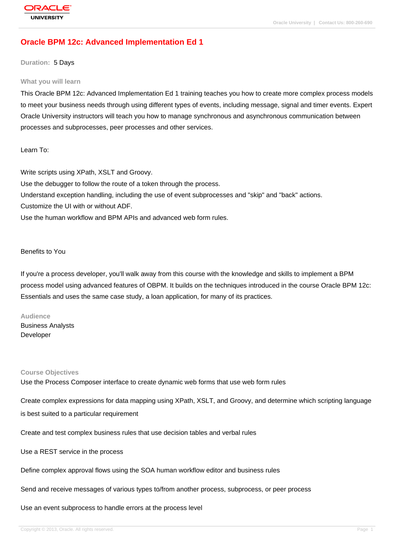# **[Oracle BPM 12](http://education.oracle.com/pls/web_prod-plq-dad/db_pages.getpage?page_id=3)c: Advanced Implementation Ed 1**

**Duration:** 5 Days

#### **What you will learn**

This Oracle BPM 12c: Advanced Implementation Ed 1 training teaches you how to create more complex process models to meet your business needs through using different types of events, including message, signal and timer events. Expert Oracle University instructors will teach you how to manage synchronous and asynchronous communication between processes and subprocesses, peer processes and other services.

Learn To:

Write scripts using XPath, XSLT and Groovy. Use the debugger to follow the route of a token through the process. Understand exception handling, including the use of event subprocesses and "skip" and "back" actions. Customize the UI with or without ADF. Use the human workflow and BPM APIs and advanced web form rules.

## Benefits to You

If you're a process developer, you'll walk away from this course with the knowledge and skills to implement a BPM process model using advanced features of OBPM. It builds on the techniques introduced in the course Oracle BPM 12c: Essentials and uses the same case study, a loan application, for many of its practices.

#### **Audience**

Business Analysts Developer

#### **Course Objectives**

Use the Process Composer interface to create dynamic web forms that use web form rules

Create complex expressions for data mapping using XPath, XSLT, and Groovy, and determine which scripting language is best suited to a particular requirement

Create and test complex business rules that use decision tables and verbal rules

Use a REST service in the process

Define complex approval flows using the SOA human workflow editor and business rules

Send and receive messages of various types to/from another process, subprocess, or peer process

#### Use an event subprocess to handle errors at the process level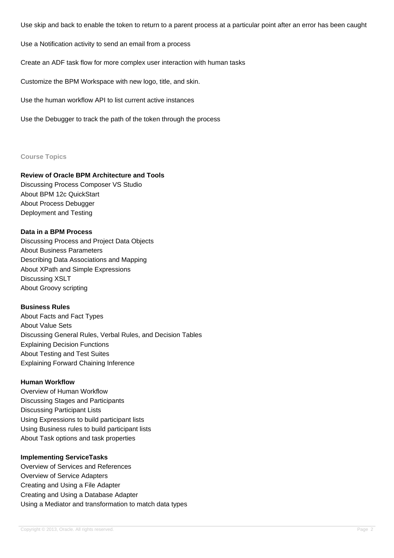Use skip and back to enable the token to return to a parent process at a particular point after an error has been caught

Use a Notification activity to send an email from a process

Create an ADF task flow for more complex user interaction with human tasks

Customize the BPM Workspace with new logo, title, and skin.

Use the human workflow API to list current active instances

Use the Debugger to track the path of the token through the process

#### **Course Topics**

## **Review of Oracle BPM Architecture and Tools**

Discussing Process Composer VS Studio About BPM 12c QuickStart About Process Debugger Deployment and Testing

## **Data in a BPM Process**

Discussing Process and Project Data Objects About Business Parameters Describing Data Associations and Mapping About XPath and Simple Expressions Discussing XSLT About Groovy scripting

#### **Business Rules**

About Facts and Fact Types About Value Sets Discussing General Rules, Verbal Rules, and Decision Tables Explaining Decision Functions About Testing and Test Suites Explaining Forward Chaining Inference

## **Human Workflow**

Overview of Human Workflow Discussing Stages and Participants Discussing Participant Lists Using Expressions to build participant lists Using Business rules to build participant lists About Task options and task properties

## **Implementing ServiceTasks**

Overview of Services and References Overview of Service Adapters Creating and Using a File Adapter Creating and Using a Database Adapter Using a Mediator and transformation to match data types